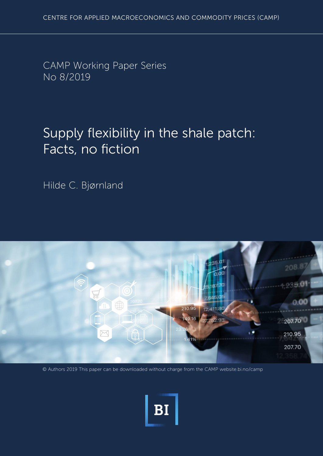CAMP Working Paper Series No 8/2019

# Supply flexibility in the shale patch: Facts, no fiction

Hilde C. Bjørnland



© Authors 2019 This paper can be downloaded without charge from the CAMP website.bi.no/camp

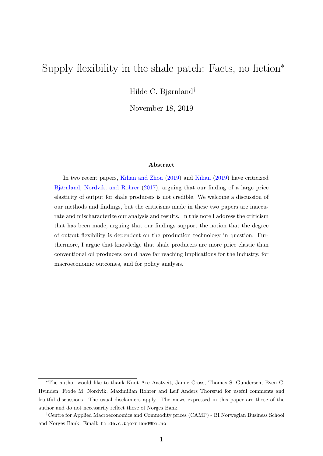## Supply flexibility in the shale patch: Facts, no fiction<sup>∗</sup>

Hilde C. Bjørnland†

November 18, 2019

#### Abstract

In two recent papers, [Kilian and Zhou](#page-12-0) [\(2019\)](#page-12-0) and [Kilian](#page-12-1) [\(2019\)](#page-12-1) have criticized [Bjørnland, Nordvik, and Rohrer](#page-11-0) [\(2017\)](#page-11-0), arguing that our finding of a large price elasticity of output for shale producers is not credible. We welcome a discussion of our methods and findings, but the criticisms made in these two papers are inaccurate and mischaracterize our analysis and results. In this note I address the criticism that has been made, arguing that our findings support the notion that the degree of output flexibility is dependent on the production technology in question. Furthermore, I argue that knowledge that shale producers are more price elastic than conventional oil producers could have far reaching implications for the industry, for macroeconomic outcomes, and for policy analysis.

<sup>∗</sup>The author would like to thank Knut Are Aastveit, Jamie Cross, Thomas S. Gundersen, Even C. Hvinden, Frode M. Nordvik, Maximilian Rohrer and Leif Anders Thorsrud for useful comments and fruitful discussions. The usual disclaimers apply. The views expressed in this paper are those of the author and do not necessarily reflect those of Norges Bank.

<sup>†</sup>Centre for Applied Macroeconomics and Commodity prices (CAMP) - BI Norwegian Business School and Norges Bank. Email: [h](mailto:hilde.c.bjornland@bi.no)ilde.c.bjornland@bi.no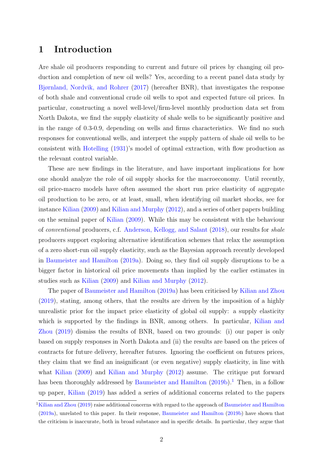### 1 Introduction

Are shale oil producers responding to current and future oil prices by changing oil production and completion of new oil wells? Yes, according to a recent panel data study by [Bjørnland, Nordvik, and Rohrer](#page-11-0) [\(2017\)](#page-11-0) (hereafter BNR), that investigates the response of both shale and conventional crude oil wells to spot and expected future oil prices. In particular, constructing a novel well-level/firm-level monthly production data set from North Dakota, we find the supply elasticity of shale wells to be significantly positive and in the range of 0.3-0.9, depending on wells and firms characteristics. We find no such responses for conventional wells, and interpret the supply pattern of shale oil wells to be consistent with [Hotelling](#page-12-2) [\(1931\)](#page-12-2)'s model of optimal extraction, with flow production as the relevant control variable.

These are new findings in the literature, and have important implications for how one should analyze the role of oil supply shocks for the macroeconomy. Until recently, oil price-macro models have often assumed the short run price elasticity of aggregate oil production to be zero, or at least, small, when identifying oil market shocks, see for instance [Kilian](#page-12-3) [\(2009\)](#page-12-3) and [Kilian and Murphy](#page-12-4) [\(2012\)](#page-12-4), and a series of other papers building on the seminal paper of [Kilian](#page-12-3) [\(2009\)](#page-12-3). While this may be consistent with the behaviour of conventional producers, c.f. [Anderson, Kellogg, and Salant](#page-11-1) [\(2018\)](#page-11-1), our results for shale producers support exploring alternative identification schemes that relax the assumption of a zero short-run oil supply elasticity, such as the Bayesian approach recently developed in [Baumeister and Hamilton](#page-11-2) [\(2019a\)](#page-11-2). Doing so, they find oil supply disruptions to be a bigger factor in historical oil price movements than implied by the earlier estimates in studies such as [Kilian](#page-12-3) [\(2009\)](#page-12-3) and [Kilian and Murphy](#page-12-4) [\(2012\)](#page-12-4).

The paper of [Baumeister and Hamilton](#page-11-2) [\(2019a\)](#page-11-2) has been criticised by [Kilian and Zhou](#page-12-0) [\(2019\)](#page-12-0), stating, among others, that the results are driven by the imposition of a highly unrealistic prior for the impact price elasticity of global oil supply: a supply elasticity which is supported by the findings in BNR, among others. In particular, [Kilian and](#page-12-0) [Zhou](#page-12-0) [\(2019\)](#page-12-0) dismiss the results of BNR, based on two grounds: (i) our paper is only based on supply responses in North Dakota and (ii) the results are based on the prices of contracts for future delivery, hereafter futures. Ignoring the coefficient on futures prices, they claim that we find an insignificant (or even negative) supply elasticity, in line with what [Kilian](#page-12-3) [\(2009\)](#page-12-3) and [Kilian and Murphy](#page-12-4) [\(2012\)](#page-12-4) assume. The critique put forward has been thoroughly addressed by [Baumeister and Hamilton](#page-11-3)  $(2019b)$ .<sup>[1](#page-2-0)</sup> Then, in a follow up paper, [Kilian](#page-12-1) [\(2019\)](#page-12-1) has added a series of additional concerns related to the papers

<span id="page-2-0"></span> ${}^{1}$ [Kilian and Zhou](#page-12-0) [\(2019\)](#page-12-0) raise additional concerns with regard to the approach of [Baumeister and Hamilton](#page-11-2) [\(2019a\)](#page-11-2), unrelated to this paper. In their response, [Baumeister and Hamilton](#page-11-3) [\(2019b\)](#page-11-3) have shown that the criticism is inaccurate, both in broad substance and in specific details. In particular, they argue that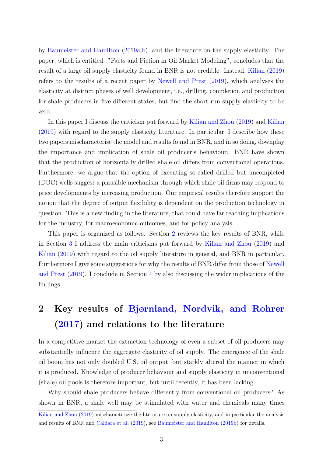by [Baumeister and Hamilton](#page-11-2) [\(2019a,](#page-11-2)[b\)](#page-11-3), and the literature on the supply elasticity. The paper, which is entitled: "Facts and Fiction in Oil Market Modeling", concludes that the result of a large oil supply elasticity found in BNR is not credible. Instead, [Kilian](#page-12-1) [\(2019\)](#page-12-1) refers to the results of a recent paper by [Newell and Prest](#page-12-5) [\(2019\)](#page-12-5), which analyses the elasticity at distinct phases of well development, i.e., drilling, completion and production for shale producers in five different states, but find the short run supply elasticity to be zero.

In this paper I discuss the criticism put forward by [Kilian and Zhou](#page-12-0) [\(2019\)](#page-12-0) and [Kilian](#page-12-1) [\(2019\)](#page-12-1) with regard to the supply elasticity literature. In particular, I describe how these two papers mischaracterise the model and results found in BNR, and in so doing, downplay the importance and implication of shale oil producer's behaviour. BNR have shown that the production of horizontally drilled shale oil differs from conventional operations. Furthermore, we argue that the option of executing so-called drilled but uncompleted (DUC) wells suggest a plausible mechanism through which shale oil firms may respond to price developments by increasing production. Our empirical results therefore support the notion that the degree of output flexibility is dependent on the production technology in question. This is a new finding in the literature, that could have far reaching implications for the industry, for macroeconomic outcomes, and for policy analysis.

This paper is organized as follows. Section [2](#page-3-0) reviews the key results of BNR, while in Section [3](#page-6-0) I address the main criticisms put forward by [Kilian and Zhou](#page-12-0) [\(2019\)](#page-12-0) and [Kilian](#page-12-1) [\(2019\)](#page-12-1) with regard to the oil supply literature in general, and BNR in particular. Furthermore I give some suggestions for why the results of BNR differ from those of [Newell](#page-12-5) [and Prest](#page-12-5) [\(2019\)](#page-12-5). I conclude in Section [4](#page-9-0) by also discussing the wider implications of the findings.

## <span id="page-3-0"></span>2 Key results of [Bjørnland, Nordvik, and Rohrer](#page-11-0) [\(2017\)](#page-11-0) and relations to the literature

In a competitive market the extraction technology of even a subset of oil producers may substantially influence the aggregate elasticity of oil supply. The emergence of the shale oil boom has not only doubled U.S. oil output, but starkly altered the manner in which it is produced. Knowledge of producer behaviour and supply elasticity in unconventional (shale) oil pools is therefore important, but until recently, it has been lacking.

Why should shale producers behave differently from conventional oil producers? As shown in BNR, a shale well may be stimulated with water and chemicals many times

[Kilian and Zhou](#page-12-0) [\(2019\)](#page-12-0) mischaracterize the literature on supply elasticity, and in particular the analysis and results of BNR and [Caldara et al.](#page-11-4) [\(2019\)](#page-11-4), see [Baumeister and Hamilton](#page-11-3) [\(2019b\)](#page-11-3) for details.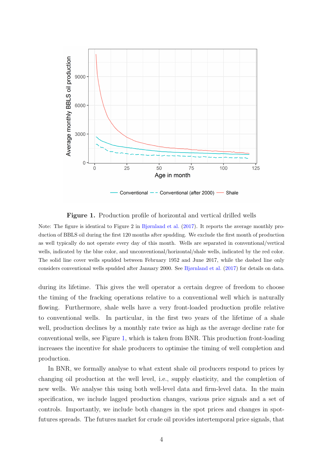<span id="page-4-0"></span>

Conventional - - Conventional (after 2000) - Shale

#### Figure 1. Production profile of horizontal and vertical drilled wells

Note: The figure is identical to Figure 2 in [Bjørnland et al.](#page-11-0) [\(2017\)](#page-11-0). It reports the average monthly production of BBLS oil during the first 120 months after spudding. We exclude the first month of production as well typically do not operate every day of this month. Wells are separated in conventional/vertical wells, indicated by the blue color, and unconventional/horizontal/shale wells, indicated by the red color. The solid line cover wells spudded between February 1952 and June 2017, while the dashed line only considers conventional wells spudded after January 2000. See [Bjørnland et al.](#page-11-0) [\(2017\)](#page-11-0) for details on data.

during its lifetime. This gives the well operator a certain degree of freedom to choose the timing of the fracking operations relative to a conventional well which is naturally flowing. Furthermore, shale wells have a very front-loaded production profile relative to conventional wells. In particular, in the first two years of the lifetime of a shale well, production declines by a monthly rate twice as high as the average decline rate for conventional wells, see Figure [1,](#page-4-0) which is taken from BNR. This production front-loading increases the incentive for shale producers to optimise the timing of well completion and production.

In BNR, we formally analyse to what extent shale oil producers respond to prices by changing oil production at the well level, i.e., supply elasticity, and the completion of new wells. We analyse this using both well-level data and firm-level data. In the main specification, we include lagged production changes, various price signals and a set of controls. Importantly, we include both changes in the spot prices and changes in spotfutures spreads. The futures market for crude oil provides intertemporal price signals, that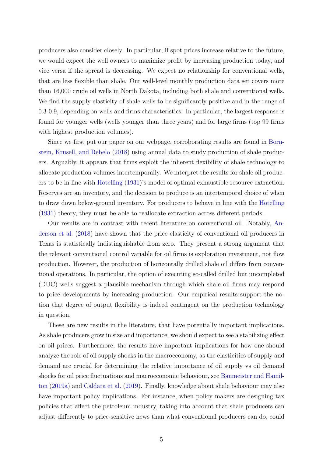producers also consider closely. In particular, if spot prices increase relative to the future, we would expect the well owners to maximize profit by increasing production today, and vice versa if the spread is decreasing. We expect no relationship for conventional wells, that are less flexible than shale. Our well-level monthly production data set covers more than 16,000 crude oil wells in North Dakota, including both shale and conventional wells. We find the supply elasticity of shale wells to be significantly positive and in the range of 0.3-0.9, depending on wells and firms characteristics. In particular, the largest response is found for younger wells (wells younger than three years) and for large firms (top 99 firms with highest production volumes).

Since we first put our paper on our webpage, corroborating results are found in [Born](#page-11-5)[stein, Krusell, and Rebelo](#page-11-5) [\(2018\)](#page-11-5) using annual data to study production of shale producers. Arguably, it appears that firms exploit the inherent flexibility of shale technology to allocate production volumes intertemporally. We interpret the results for shale oil producers to be in line with [Hotelling](#page-12-2) [\(1931\)](#page-12-2)'s model of optimal exhaustible resource extraction. Reserves are an inventory, and the decision to produce is an intertemporal choice of when to draw down below-ground inventory. For producers to behave in line with the [Hotelling](#page-12-2) [\(1931\)](#page-12-2) theory, they must be able to reallocate extraction across different periods.

Our results are in contrast with recent literature on conventional oil. Notably, [An](#page-11-1)[derson et al.](#page-11-1) [\(2018\)](#page-11-1) have shown that the price elasticity of conventional oil producers in Texas is statistically indistinguishable from zero. They present a strong argument that the relevant conventional control variable for oil firms is exploration investment, not flow production. However, the production of horizontally drilled shale oil differs from conventional operations. In particular, the option of executing so-called drilled but uncompleted (DUC) wells suggest a plausible mechanism through which shale oil firms may respond to price developments by increasing production. Our empirical results support the notion that degree of output flexibility is indeed contingent on the production technology in question.

These are new results in the literature, that have potentially important implications. As shale producers grow in size and importance, we should expect to see a stabilizing effect on oil prices. Furthermore, the results have important implications for how one should analyze the role of oil supply shocks in the macroeconomy, as the elasticities of supply and demand are crucial for determining the relative importance of oil supply vs oil demand shocks for oil price fluctuations and macroeconomic behaviour, see [Baumeister and Hamil](#page-11-2)[ton](#page-11-2) [\(2019a\)](#page-11-2) and [Caldara et al.](#page-11-4) [\(2019\)](#page-11-4). Finally, knowledge about shale behaviour may also have important policy implications. For instance, when policy makers are designing tax policies that affect the petroleum industry, taking into account that shale producers can adjust differently to price-sensitive news than what conventional producers can do, could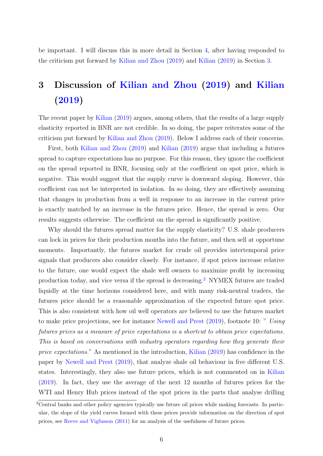be important. I will discuss this in more detail in Section [4,](#page-9-0) after having responded to the criticism put forward by [Kilian and Zhou](#page-12-0) [\(2019\)](#page-12-0) and [Kilian](#page-12-1) [\(2019\)](#page-12-1) in Section [3.](#page-6-0)

## <span id="page-6-0"></span>3 Discussion of [Kilian and Zhou](#page-12-0) [\(2019\)](#page-12-0) and [Kilian](#page-12-1) [\(2019\)](#page-12-1)

The recent paper by [Kilian](#page-12-1) [\(2019\)](#page-12-1) argues, among others, that the results of a large supply elasticity reported in BNR are not credible. In so doing, the paper reiterates some of the criticism put forward by [Kilian and Zhou](#page-12-0) [\(2019\)](#page-12-0). Below I address each of their concerns.

First, both [Kilian and Zhou](#page-12-0) [\(2019\)](#page-12-0) and [Kilian](#page-12-1) [\(2019\)](#page-12-1) argue that including a futures spread to capture expectations has no purpose. For this reason, they ignore the coefficient on the spread reported in BNR, focusing only at the coefficient on spot price, which is negative. This would suggest that the supply curve is downward sloping. However, this coefficient can not be interpreted in isolation. In so doing, they are effectively assuming that changes in production from a well in response to an increase in the current price is exactly matched by an increase in the futures price. Hence, the spread is zero. Our results suggests otherwise. The coefficient on the spread is significantly positive.

Why should the futures spread matter for the supply elasticity? U.S. shale producers can lock in prices for their production months into the future, and then sell at opportune moments. Importantly, the futures market for crude oil provides intertemporal price signals that producers also consider closely. For instance, if spot prices increase relative to the future, one would expect the shale well owners to maximize profit by increasing production today, and vice versa if the spread is decreasing.[2](#page-6-1) NYMEX futures are traded liquidly at the time horizons considered here, and with many risk-neutral traders, the futures price should be a reasonable approximation of the expected future spot price. This is also consistent with how oil well operators are believed to use the futures market to make price projections, see for instance [Newell and Prest](#page-12-5) [\(2019\)](#page-12-5), footnote 10: " Using futures prices as a measure of price expectations is a shortcut to obtain price expectations. This is based on conversations with industry operators regarding how they generate their price expectations." As mentioned in the introduction, [Kilian](#page-12-1) [\(2019\)](#page-12-1) has confidence in the paper by [Newell and Prest](#page-12-5) [\(2019\)](#page-12-5), that analyze shale oil behaviour in five different U.S. states. Interestingly, they also use future prices, which is not commented on in [Kilian](#page-12-1) [\(2019\)](#page-12-1). In fact, they use the average of the next 12 months of futures prices for the WTI and Henry Hub prices instead of the spot prices in the parts that analyse drilling

<span id="page-6-1"></span><sup>&</sup>lt;sup>2</sup>Central banks and other policy agencies typically use future oil prices while making forecasts. In particular, the slope of the yield curves formed with these prices provide information on the direction of spot prices, see [Reeve and Vigfusson](#page-12-6) [\(2011\)](#page-12-6) for an analysis of the usefulness of future prices.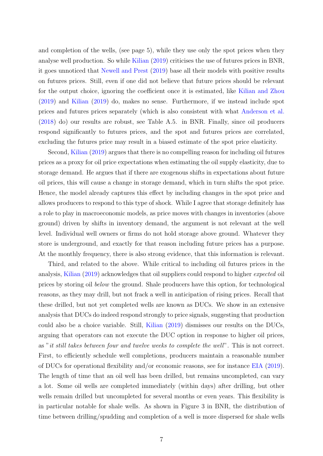and completion of the wells, (see page 5), while they use only the spot prices when they analyse well production. So while [Kilian](#page-12-1) [\(2019\)](#page-12-1) criticises the use of futures prices in BNR, it goes unnoticed that [Newell and Prest](#page-12-5) [\(2019\)](#page-12-5) base all their models with positive results on futures prices. Still, even if one did not believe that future prices should be relevant for the output choice, ignoring the coefficient once it is estimated, like [Kilian and Zhou](#page-12-0) [\(2019\)](#page-12-0) and [Kilian](#page-12-1) [\(2019\)](#page-12-1) do, makes no sense. Furthermore, if we instead include spot prices and futures prices separately (which is also consistent with what [Anderson et al.](#page-11-1) [\(2018\)](#page-11-1) do) our results are robust, see Table A.5. in BNR. Finally, since oil producers respond significantly to futures prices, and the spot and futures prices are correlated, excluding the futures price may result in a biased estimate of the spot price elasticity.

Second, [Kilian](#page-12-1) [\(2019\)](#page-12-1) argues that there is no compelling reason for including oil futures prices as a proxy for oil price expectations when estimating the oil supply elasticity, due to storage demand. He argues that if there are exogenous shifts in expectations about future oil prices, this will cause a change in storage demand, which in turn shifts the spot price. Hence, the model already captures this effect by including changes in the spot price and allows producers to respond to this type of shock. While I agree that storage definitely has a role to play in macroeconomic models, as price moves with changes in inventories (above ground) driven by shifts in inventory demand, the argument is not relevant at the well level. Individual well owners or firms do not hold storage above ground. Whatever they store is underground, and exactly for that reason including future prices has a purpose. At the monthly frequency, there is also strong evidence, that this information is relevant.

Third, and related to the above. While critical to including oil futures prices in the analysis, [Kilian](#page-12-1) [\(2019\)](#page-12-1) acknowledges that oil suppliers could respond to higher expected oil prices by storing oil below the ground. Shale producers have this option, for technological reasons, as they may drill, but not frack a well in anticipation of rising prices. Recall that these drilled, but not yet completed wells are known as DUCs. We show in an extensive analysis that DUCs do indeed respond strongly to price signals, suggesting that production could also be a choice variable. Still, [Kilian](#page-12-1) [\(2019\)](#page-12-1) dismisses our results on the DUCs, arguing that operators can not execute the DUC option in response to higher oil prices, as "it still takes between four and twelve weeks to complete the well". This is not correct. First, to efficiently schedule well completions, producers maintain a reasonable number of DUCs for operational flexibility and/or economic reasons, see for instance [EIA](#page-11-6) [\(2019\)](#page-11-6). The length of time that an oil well has been drilled, but remains uncompleted, can vary a lot. Some oil wells are completed immediately (within days) after drilling, but other wells remain drilled but uncompleted for several months or even years. This flexibility is in particular notable for shale wells. As shown in Figure 3 in BNR, the distribution of time between drilling/spudding and completion of a well is more dispersed for shale wells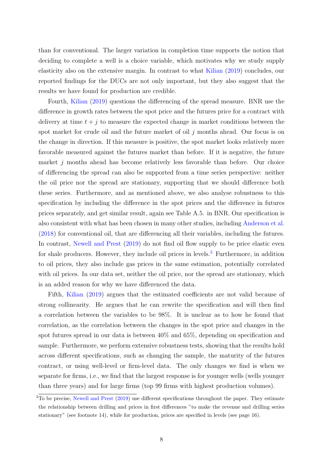than for conventional. The larger variation in completion time supports the notion that deciding to complete a well is a choice variable, which motivates why we study supply elasticity also on the extensive margin. In contrast to what [Kilian](#page-12-1) [\(2019\)](#page-12-1) concludes, our reported findings for the DUCs are not only important, but they also suggest that the results we have found for production are credible.

Fourth, [Kilian](#page-12-1) [\(2019\)](#page-12-1) questions the differencing of the spread measure. BNR use the difference in growth rates between the spot price and the futures price for a contract with delivery at time  $t + j$  to measure the expected change in market conditions between the spot market for crude oil and the future market of oil  $j$  months ahead. Our focus is on the change in direction. If this measure is positive, the spot market looks relatively more favorable measured against the futures market than before. If it is negative, the future market  $j$  months ahead has become relatively less favorable than before. Our choice of differencing the spread can also be supported from a time series perspective: neither the oil price nor the spread are stationary, supporting that we should difference both these series. Furthermore, and as mentioned above, we also analyse robustness to this specification by including the difference in the spot prices and the difference in futures prices separately, and get similar result, again see Table A.5. in BNR. Our specification is also consistent with what has been chosen in many other studies, including [Anderson et al.](#page-11-1) [\(2018\)](#page-11-1) for conventional oil, that are differencing all their variables, including the futures. In contrast, [Newell and Prest](#page-12-5) [\(2019\)](#page-12-5) do not find oil flow supply to be price elastic even for shale producers. However, they include oil prices in levels.<sup>[3](#page-8-0)</sup> Furthermore, in addition to oil prices, they also include gas prices in the same estimation, potentially correlated with oil prices. In our data set, neither the oil price, nor the spread are stationary, which is an added reason for why we have differenced the data.

Fifth, [Kilian](#page-12-1) [\(2019\)](#page-12-1) argues that the estimated coefficients are not valid because of strong collinearity. He argues that he can rewrite the specification and will then find a correlation between the variables to be 98%. It is unclear as to how he found that correlation, as the correlation between the changes in the spot price and changes in the spot futures spread in our data is between 40% and 65%, depending on specification and sample. Furthermore, we perform extensive robustness tests, showing that the results hold across different specifications, such as changing the sample, the maturity of the futures contract, or using well-level or firm-level data. The only changes we find is when we separate for firms, i.e., we find that the largest response is for younger wells (wells younger than three years) and for large firms (top 99 firms with highest production volumes).

<span id="page-8-0"></span><sup>&</sup>lt;sup>3</sup>To be precise, [Newell and Prest](#page-12-5) [\(2019\)](#page-12-5) use different specifications throughout the paper. They estimate the relationship between drilling and prices in first differences "to make the revenue and drilling series stationary" (see footnote 14), while for production, prices are specified in levels (see page 16).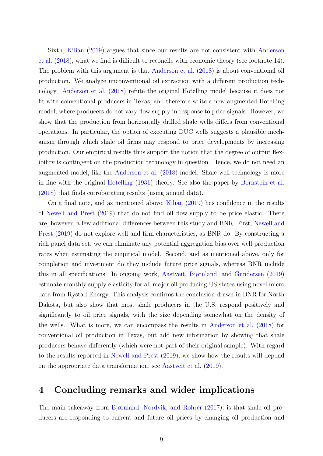Sixth, [Kilian](#page-12-1) [\(2019\)](#page-12-1) argues that since our results are not consistent with [Anderson](#page-11-1) [et al.](#page-11-1) [\(2018\)](#page-11-1), what we find is difficult to reconcile with economic theory (see footnote 14). The problem with this argument is that [Anderson et al.](#page-11-1) [\(2018\)](#page-11-1) is about conventional oil production. We analyze unconventional oil extraction with a different production technology. [Anderson et al.](#page-11-1) [\(2018\)](#page-11-1) refute the original Hotelling model because it does not fit with conventional producers in Texas, and therefore write a new augmented Hotelling model, where producers do not vary flow supply in response to price signals. However, we show that the production from horizontally drilled shale wells differs from conventional operations. In particular, the option of executing DUC wells suggests a plausible mechanism through which shale oil firms may respond to price developments by increasing production. Our empirical results thus support the notion that the degree of output flexibility is contingent on the production technology in question. Hence, we do not need an augmented model, like the [Anderson et al.](#page-11-1) [\(2018\)](#page-11-1) model. Shale well technology is more in line with the original [Hotelling](#page-12-2) [\(1931\)](#page-12-2) theory. See also the paper by [Bornstein et al.](#page-11-5) [\(2018\)](#page-11-5) that finds corroborating results (using annual data).

On a final note, and as mentioned above, [Kilian](#page-12-1) [\(2019\)](#page-12-1) has confidence in the results of [Newell and Prest](#page-12-5) [\(2019\)](#page-12-5) that do not find oil flow supply to be price elastic. There are, however, a few additional differences between this study and BNR. First, [Newell and](#page-12-5) [Prest](#page-12-5) [\(2019\)](#page-12-5) do not explore well and firm characteristics, as BNR do. By constructing a rich panel data set, we can eliminate any potential aggregation bias over well production rates when estimating the empirical model. Second, and as mentioned above, only for completion and investment do they include future price signals, whereas BNR include this in all specifications. In ongoing work, [Aastveit, Bjørnland, and Gundersen](#page-11-7) [\(2019\)](#page-11-7) estimate monthly supply elasticity for all major oil producing US states using novel micro data from Rystad Energy. This analysis confirms the conclusion drawn in BNR for North Dakota, but also show that most shale producers in the U.S. respond positively and significantly to oil price signals, with the size depending somewhat on the density of the wells. What is more, we can encompass the results in [Anderson et al.](#page-11-1) [\(2018\)](#page-11-1) for conventional oil production in Texas, but add new information by showing that shale producers behave differently (which were not part of their original sample). With regard to the results reported in [Newell and Prest](#page-12-5) [\(2019\)](#page-12-5), we show how the results will depend on the appropriate data transformation, see [Aastveit et al.](#page-11-7) [\(2019\)](#page-11-7).

### <span id="page-9-0"></span>4 Concluding remarks and wider implications

The main takeaway from [Bjørnland, Nordvik, and Rohrer](#page-11-0) [\(2017\)](#page-11-0), is that shale oil producers are responding to current and future oil prices by changing oil production and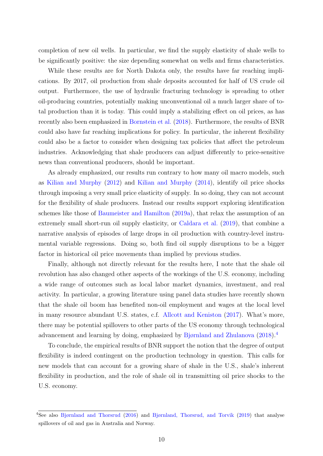completion of new oil wells. In particular, we find the supply elasticity of shale wells to be significantly positive: the size depending somewhat on wells and firms characteristics.

While these results are for North Dakota only, the results have far reaching implications. By 2017, oil production from shale deposits accounted for half of US crude oil output. Furthermore, the use of hydraulic fracturing technology is spreading to other oil-producing countries, potentially making unconventional oil a much larger share of total production than it is today. This could imply a stabilizing effect on oil prices, as has recently also been emphasized in [Bornstein et al.](#page-11-5) [\(2018\)](#page-11-5). Furthermore, the results of BNR could also have far reaching implications for policy. In particular, the inherent flexibility could also be a factor to consider when designing tax policies that affect the petroleum industries. Acknowledging that shale producers can adjust differently to price-sensitive news than conventional producers, should be important.

As already emphasized, our results run contrary to how many oil macro models, such as [Kilian and Murphy](#page-12-4) [\(2012\)](#page-12-4) and [Kilian and Murphy](#page-12-7) [\(2014\)](#page-12-7), identify oil price shocks through imposing a very small price elasticity of supply. In so doing, they can not account for the flexibility of shale producers. Instead our results support exploring identification schemes like those of [Baumeister and Hamilton](#page-11-2) [\(2019a\)](#page-11-2), that relax the assumption of an extremely small short-run oil supply elasticity, or [Caldara et al.](#page-11-4) [\(2019\)](#page-11-4), that combine a narrative analysis of episodes of large drops in oil production with country-level instrumental variable regressions. Doing so, both find oil supply disruptions to be a bigger factor in historical oil price movements than implied by previous studies.

Finally, although not directly relevant for the results here, I note that the shale oil revolution has also changed other aspects of the workings of the U.S. economy, including a wide range of outcomes such as local labor market dynamics, investment, and real activity. In particular, a growing literature using panel data studies have recently shown that the shale oil boom has benefited non-oil employment and wages at the local level in many resource abundant U.S. states, c.f. [Allcott and Keniston](#page-11-8) [\(2017\)](#page-11-8). What's more, there may be potential spillovers to other parts of the US economy through technological advancement and learning by doing, emphasized by [Bjørnland and Zhulanova](#page-11-9) [\(2018\)](#page-11-9).[4](#page-10-0)

To conclude, the empirical results of BNR support the notion that the degree of output flexibility is indeed contingent on the production technology in question. This calls for new models that can account for a growing share of shale in the U.S., shale's inherent flexibility in production, and the role of shale oil in transmitting oil price shocks to the U.S. economy.

<span id="page-10-0"></span><sup>4</sup>See also [Bjørnland and Thorsrud](#page-11-10) [\(2016\)](#page-11-10) and [Bjørnland, Thorsrud, and Torvik](#page-11-11) [\(2019\)](#page-11-11) that analyse spillovers of oil and gas in Australia and Norway.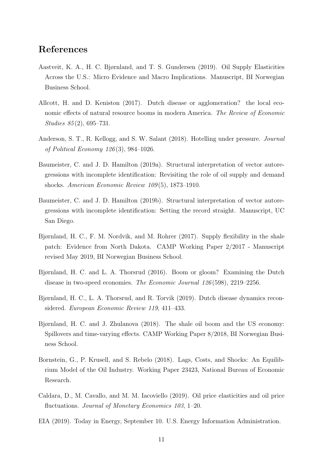## References

- <span id="page-11-7"></span>Aastveit, K. A., H. C. Bjørnland, and T. S. Gundersen (2019). Oil Supply Elasticities Across the U.S.: Micro Evidence and Macro Implications. Manuscript, BI Norwegian Business School.
- <span id="page-11-8"></span>Allcott, H. and D. Keniston (2017). Dutch disease or agglomeration? the local economic effects of natural resource booms in modern America. The Review of Economic Studies 85 (2), 695–731.
- <span id="page-11-1"></span>Anderson, S. T., R. Kellogg, and S. W. Salant (2018). Hotelling under pressure. Journal of Political Economy 126 (3), 984–1026.
- <span id="page-11-2"></span>Baumeister, C. and J. D. Hamilton (2019a). Structural interpretation of vector autoregressions with incomplete identification: Revisiting the role of oil supply and demand shocks. American Economic Review 109 (5), 1873–1910.
- <span id="page-11-3"></span>Baumeister, C. and J. D. Hamilton (2019b). Structural interpretation of vector autoregressions with incomplete identification: Setting the record straight. Manuscript, UC San Diego.
- <span id="page-11-0"></span>Bjørnland, H. C., F. M. Nordvik, and M. Rohrer (2017). Supply flexibility in the shale patch: Evidence from North Dakota. CAMP Working Paper 2/2017 - Manuscript revised May 2019, BI Norwegian Business School.
- <span id="page-11-10"></span>Bjørnland, H. C. and L. A. Thorsrud (2016). Boom or gloom? Examining the Dutch disease in two-speed economies. The Economic Journal 126 (598), 2219–2256.
- <span id="page-11-11"></span>Bjørnland, H. C., L. A. Thorsrud, and R. Torvik (2019). Dutch disease dynamics reconsidered. European Economic Review 119, 411–433.
- <span id="page-11-9"></span>Bjørnland, H. C. and J. Zhulanova (2018). The shale oil boom and the US economy: Spillovers and time-varying effects. CAMP Working Paper 8/2018, BI Norwegian Business School.
- <span id="page-11-5"></span>Bornstein, G., P. Krusell, and S. Rebelo (2018). Lags, Costs, and Shocks: An Equilibrium Model of the Oil Industry. Working Paper 23423, National Bureau of Economic Research.
- <span id="page-11-4"></span>Caldara, D., M. Cavallo, and M. M. Iacoviello (2019). Oil price elasticities and oil price fluctuations. *Journal of Monetary Economics 103*, 1–20.
- <span id="page-11-6"></span>EIA (2019). Today in Energy, September 10. U.S. Energy Information Administration.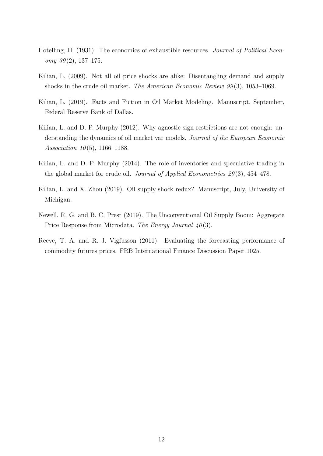- <span id="page-12-2"></span>Hotelling, H. (1931). The economics of exhaustible resources. Journal of Political Econ $omy \; 39(2), 137-175.$
- <span id="page-12-3"></span>Kilian, L. (2009). Not all oil price shocks are alike: Disentangling demand and supply shocks in the crude oil market. The American Economic Review 99(3), 1053–1069.
- <span id="page-12-1"></span>Kilian, L. (2019). Facts and Fiction in Oil Market Modeling. Manuscript, September, Federal Reserve Bank of Dallas.
- <span id="page-12-4"></span>Kilian, L. and D. P. Murphy (2012). Why agnostic sign restrictions are not enough: understanding the dynamics of oil market var models. Journal of the European Economic Association  $10(5)$ , 1166–1188.
- <span id="page-12-7"></span>Kilian, L. and D. P. Murphy (2014). The role of inventories and speculative trading in the global market for crude oil. Journal of Applied Econometrics 29(3), 454–478.
- <span id="page-12-0"></span>Kilian, L. and X. Zhou (2019). Oil supply shock redux? Manuscript, July, University of Michigan.
- <span id="page-12-5"></span>Newell, R. G. and B. C. Prest (2019). The Unconventional Oil Supply Boom: Aggregate Price Response from Microdata. The Energy Journal  $40(3)$ .
- <span id="page-12-6"></span>Reeve, T. A. and R. J. Vigfusson (2011). Evaluating the forecasting performance of commodity futures prices. FRB International Finance Discussion Paper 1025.